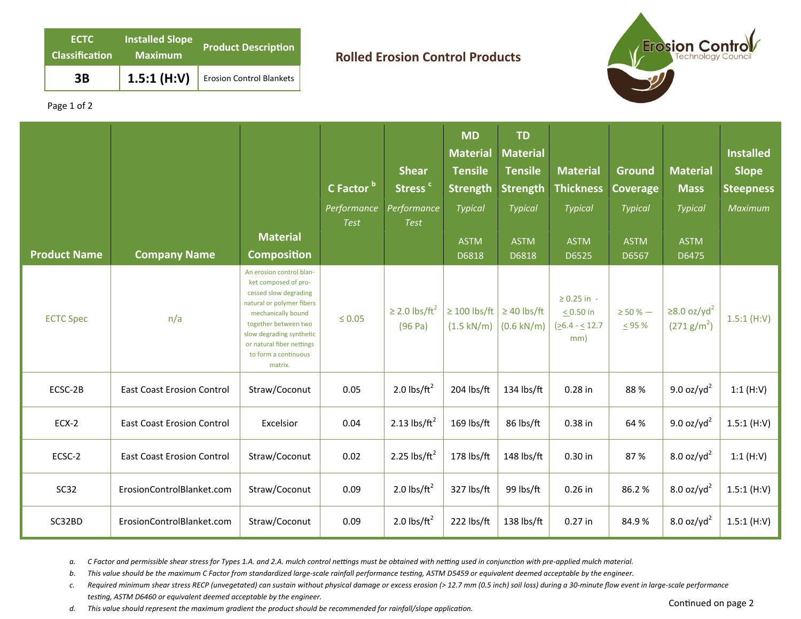| <b>ECTC</b><br><b>Classification</b> | <b>Installed Slope</b><br><b>Maximum</b> | <b>Product Description</b>      |
|--------------------------------------|------------------------------------------|---------------------------------|
| 3B                                   | 1.5:1(H:V)                               | <b>Erosion Control Blankets</b> |

## **Rolled Erosion Control Products**



Page 1 of 2

| <b>Product Name</b> | <b>Company Name</b>               | <b>Material</b><br><b>Composition</b>                                                                                                                                                                                                            | C Factor bl<br>Performance<br><b>Test</b> | <b>Shear</b><br>Stress <sup>c</sup><br>Performance<br><b>Test</b> | <b>MD</b><br><b>Material</b><br><b>Tensile</b><br><b>Strength</b><br><b>Typical</b><br><b>ASTM</b><br>D6818 | <b>TD</b><br><b>Material</b><br><b>Tensile</b><br><b>Strength</b><br>Typical<br><b>ASTM</b><br>D6818 | <b>Material</b><br><b>Thickness</b><br><b>Typical</b><br><b>ASTM</b><br>D6525 | Ground<br><b>Coverage</b><br><b>Typical</b><br><b>ASTM</b><br>D6567 | <b>Material</b><br><b>Mass</b><br><b>Typical</b><br><b>ASTM</b><br>D6475 | <b>Installed</b><br><b>Slope</b><br><b>Steepness</b><br>Maximum |
|---------------------|-----------------------------------|--------------------------------------------------------------------------------------------------------------------------------------------------------------------------------------------------------------------------------------------------|-------------------------------------------|-------------------------------------------------------------------|-------------------------------------------------------------------------------------------------------------|------------------------------------------------------------------------------------------------------|-------------------------------------------------------------------------------|---------------------------------------------------------------------|--------------------------------------------------------------------------|-----------------------------------------------------------------|
| <b>ECTC Spec</b>    | n/a                               | An erosion control blan-<br>ket composed of pro-<br>cessed slow degrading<br>natural or polymer fibers<br>mechanically bound<br>together between two<br>slow degrading synthetic<br>or natural fiber nettings<br>to form a continuous<br>matrix. | $\leq 0.05$                               | $\geq$ 2.0 lbs/ft <sup>2</sup><br>(96 Pa)                         | $\geq 100$ lbs/ft<br>$(1.5 \text{ kN/m})$                                                                   | $\geq$ 40 lbs/ft<br>$(0.6 \text{ kN/m})$                                                             | $\geq 0.25$ in -<br>$< 0.50$ in<br>$(26.4 - 12.7)$<br>mm)                     | $\geq$ 50 % $-$<br>$\leq$ 95 %                                      | $≥8.0$ oz/yd <sup>2</sup><br>(271 g/m <sup>2</sup> )                     | 1.5:1(H:V)                                                      |
| ECSC-2B             | <b>East Coast Erosion Control</b> | Straw/Coconut                                                                                                                                                                                                                                    | 0.05                                      | 2.0 $\text{lbs/ft}^2$                                             | 204 lbs/ft                                                                                                  | 134 lbs/ft                                                                                           | 0.28 in                                                                       | 88%                                                                 | 9.0 oz/yd <sup>2</sup>                                                   | 1:1(H:V)                                                        |
| ECX-2               | <b>East Coast Erosion Control</b> | Excelsior                                                                                                                                                                                                                                        | 0.04                                      | 2.13 $\text{lbs/ft}^2$                                            | 169 lbs/ft                                                                                                  | 86 lbs/ft                                                                                            | 0.38 in                                                                       | 64 %                                                                | $9.0$ oz/yd <sup>2</sup>                                                 | 1.5:1(H:V)                                                      |
| ECSC-2              | <b>East Coast Erosion Control</b> | Straw/Coconut                                                                                                                                                                                                                                    | 0.02                                      | 2.25 $\text{lbs/ft}^2$                                            | 178 lbs/ft                                                                                                  | 148 lbs/ft                                                                                           | 0.30 in                                                                       | 87%                                                                 | $8.0$ oz/yd <sup>2</sup>                                                 | 1:1(H:V)                                                        |
| <b>SC32</b>         | ErosionControlBlanket.com         | Straw/Coconut                                                                                                                                                                                                                                    | 0.09                                      | 2.0 $\text{lbs/ft}^2$                                             | 327 lbs/ft                                                                                                  | 99 lbs/ft                                                                                            | $0.26$ in                                                                     | 86.2%                                                               | $8.0$ oz/yd <sup>2</sup>                                                 | 1.5:1(H:V)                                                      |
| SC32BD              | ErosionControlBlanket.com         | Straw/Coconut                                                                                                                                                                                                                                    | 0.09                                      | 2.0 $\text{lbs/ft}^2$                                             | 222 lbs/ft                                                                                                  | 138 lbs/ft                                                                                           | $0.27$ in                                                                     | 84.9%                                                               | $8.0$ oz/yd <sup>2</sup>                                                 | 1.5:1(H:V)                                                      |

a. C Factor and permissible shear stress for Types 1.A. and 2.A. mulch control nettings must be obtained with netting used in conjunction with pre-applied mulch material.

*b.* This value should be the maximum C Factor from standardized large-scale rainfall performance testing, ASTM D5459 or equivalent deemed acceptable by the engineer.

*c. Required minimum shear stress RECP (unvegetated) can sustain without physical damage or excess erosion (> 12.7 mm (0.5 inch) soil loss) during a 30‐minute flow event in large‐scale performance*  testing, ASTM D6460 or equivalent deemed acceptable by the engineer.

d. This value should represent the maximum gradient the product should be recommended for rainfall/slope application.